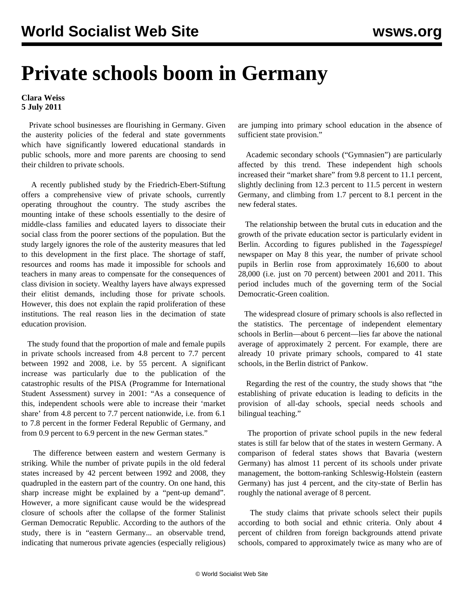## **Private schools boom in Germany**

## **Clara Weiss 5 July 2011**

 Private school businesses are flourishing in Germany. Given the austerity policies of the federal and state governments which have significantly lowered educational standards in public schools, more and more parents are choosing to send their children to private schools.

 A recently published study by the Friedrich-Ebert-Stiftung offers a comprehensive view of private schools, currently operating throughout the country. The study ascribes the mounting intake of these schools essentially to the desire of middle-class families and educated layers to dissociate their social class from the poorer sections of the population. But the study largely ignores the role of the austerity measures that led to this development in the first place. The shortage of staff, resources and rooms has made it impossible for schools and teachers in many areas to compensate for the consequences of class division in society. Wealthy layers have always expressed their elitist demands, including those for private schools. However, this does not explain the rapid proliferation of these institutions. The real reason lies in the decimation of state education provision.

 The study found that the proportion of male and female pupils in private schools increased from 4.8 percent to 7.7 percent between 1992 and 2008, i.e. by 55 percent. A significant increase was particularly due to the publication of the catastrophic results of the PISA (Programme for International Student Assessment) survey in 2001: "As a consequence of this, independent schools were able to increase their 'market share' from 4.8 percent to 7.7 percent nationwide, i.e. from 6.1 to 7.8 percent in the former Federal Republic of Germany, and from 0.9 percent to 6.9 percent in the new German states."

 The difference between eastern and western Germany is striking. While the number of private pupils in the old federal states increased by 42 percent between 1992 and 2008, they quadrupled in the eastern part of the country. On one hand, this sharp increase might be explained by a "pent-up demand". However, a more significant cause would be the widespread closure of schools after the collapse of the former Stalinist German Democratic Republic. According to the authors of the study, there is in "eastern Germany... an observable trend, indicating that numerous private agencies (especially religious) are jumping into primary school education in the absence of sufficient state provision."

 Academic secondary schools ("Gymnasien") are particularly affected by this trend. These independent high schools increased their "market share" from 9.8 percent to 11.1 percent, slightly declining from 12.3 percent to 11.5 percent in western Germany, and climbing from 1.7 percent to 8.1 percent in the new federal states.

 The relationship between the brutal cuts in education and the growth of the private education sector is particularly evident in Berlin. According to figures published in the *Tagesspiegel* newspaper on May 8 this year, the number of private school pupils in Berlin rose from approximately 16,600 to about 28,000 (i.e. just on 70 percent) between 2001 and 2011. This period includes much of the governing term of the Social Democratic-Green coalition.

 The widespread closure of primary schools is also reflected in the statistics. The percentage of independent elementary schools in Berlin—about 6 percent—lies far above the national average of approximately 2 percent. For example, there are already 10 private primary schools, compared to 41 state schools, in the Berlin district of Pankow.

 Regarding the rest of the country, the study shows that "the establishing of private education is leading to deficits in the provision of all-day schools, special needs schools and bilingual teaching."

 The proportion of private school pupils in the new federal states is still far below that of the states in western Germany. A comparison of federal states shows that Bavaria (western Germany) has almost 11 percent of its schools under private management, the bottom-ranking Schleswig-Holstein (eastern Germany) has just 4 percent, and the city-state of Berlin has roughly the national average of 8 percent.

 The study claims that private schools select their pupils according to both social and ethnic criteria. Only about 4 percent of children from foreign backgrounds attend private schools, compared to approximately twice as many who are of